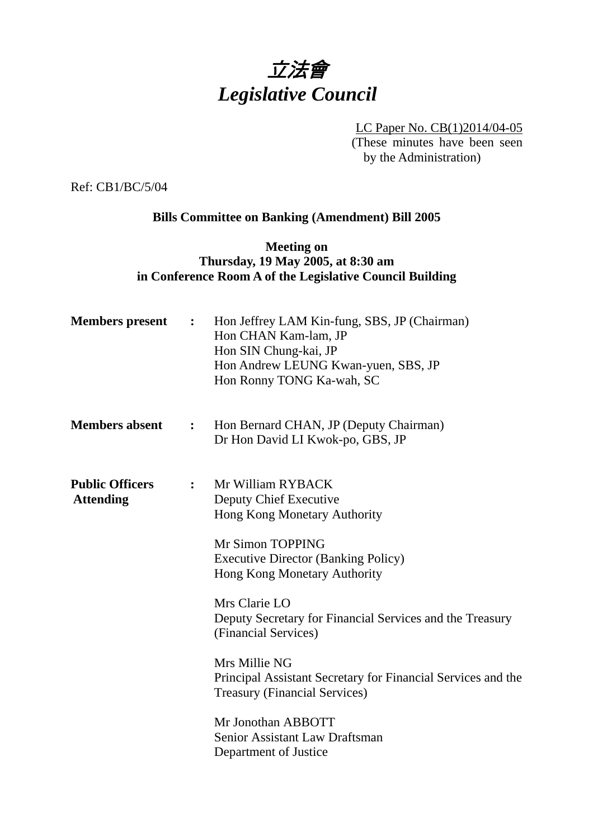# 立法會 *Legislative Council*

LC Paper No. CB(1)2014/04-05 (These minutes have been seen by the Administration)

Ref: CB1/BC/5/04

## **Bills Committee on Banking (Amendment) Bill 2005**

## **Meeting on Thursday, 19 May 2005, at 8:30 am in Conference Room A of the Legislative Council Building**

| <b>Members</b> present                     | $\ddot{\cdot}$ | Hon Jeffrey LAM Kin-fung, SBS, JP (Chairman)<br>Hon CHAN Kam-lam, JP<br>Hon SIN Chung-kai, JP<br>Hon Andrew LEUNG Kwan-yuen, SBS, JP<br>Hon Ronny TONG Ka-wah, SC                                                                                                                                                                                                                                                                                                                            |
|--------------------------------------------|----------------|----------------------------------------------------------------------------------------------------------------------------------------------------------------------------------------------------------------------------------------------------------------------------------------------------------------------------------------------------------------------------------------------------------------------------------------------------------------------------------------------|
| <b>Members absent</b><br>$\ddot{\cdot}$    |                | Hon Bernard CHAN, JP (Deputy Chairman)<br>Dr Hon David LI Kwok-po, GBS, JP                                                                                                                                                                                                                                                                                                                                                                                                                   |
| <b>Public Officers</b><br><b>Attending</b> | $\ddot{\cdot}$ | Mr William RYBACK<br>Deputy Chief Executive<br>Hong Kong Monetary Authority<br>Mr Simon TOPPING<br><b>Executive Director (Banking Policy)</b><br>Hong Kong Monetary Authority<br>Mrs Clarie LO<br>Deputy Secretary for Financial Services and the Treasury<br>(Financial Services)<br>Mrs Millie NG<br>Principal Assistant Secretary for Financial Services and the<br><b>Treasury (Financial Services)</b><br>Mr Jonothan ABBOTT<br>Senior Assistant Law Draftsman<br>Department of Justice |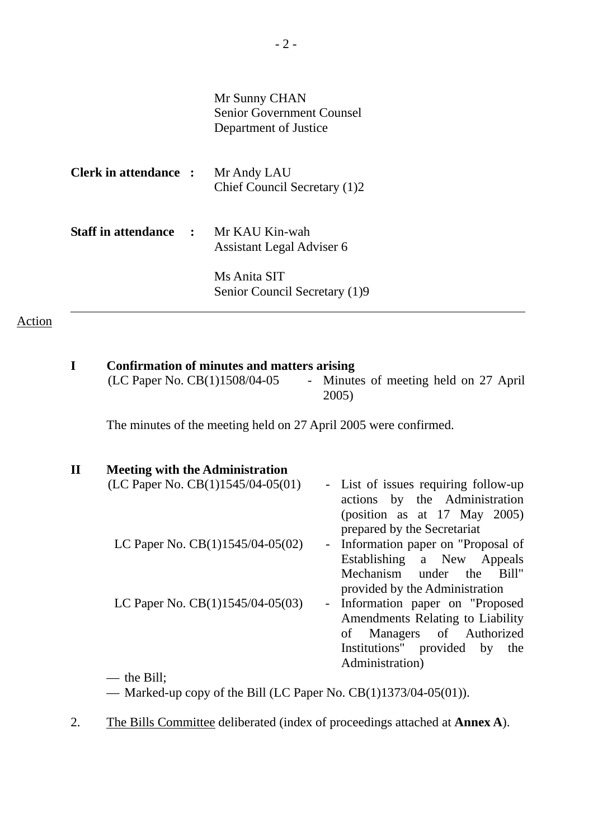|                                             | Mr Sunny CHAN<br><b>Senior Government Counsel</b><br>Department of Justice |
|---------------------------------------------|----------------------------------------------------------------------------|
| <b>Clerk in attendance : Mr Andy LAU</b>    | Chief Council Secretary (1)2                                               |
| <b>Staff in attendance : Mr KAU Kin-wah</b> | Assistant Legal Adviser 6                                                  |
|                                             | Ms Anita SIT<br>Senior Council Secretary (1)9                              |

## Action

| I            | Confirmation of minutes and matters arising<br>(LC Paper No. CB(1)1508/04-05 | - Minutes of meeting held on 27 April<br>2005)                                                                                                                   |  |  |
|--------------|------------------------------------------------------------------------------|------------------------------------------------------------------------------------------------------------------------------------------------------------------|--|--|
|              | The minutes of the meeting held on 27 April 2005 were confirmed.             |                                                                                                                                                                  |  |  |
| $\mathbf{I}$ | <b>Meeting with the Administration</b>                                       |                                                                                                                                                                  |  |  |
|              | (LC Paper No. $CB(1)1545/04-05(01)$ )                                        | - List of issues requiring follow-up<br>actions by the Administration<br>(position as at $17$ May $2005$ )<br>prepared by the Secretariat                        |  |  |
|              | LC Paper No. $CB(1)1545/04-05(02)$                                           | Information paper on "Proposal of<br>$\sim$<br>Establishing a New Appeals<br>Mechanism under the<br>Bill"<br>provided by the Administration                      |  |  |
|              | LC Paper No. $CB(1)1545/04-05(03)$                                           | Information paper on "Proposed<br>$\sim$<br>Amendments Relating to Liability<br>Managers of Authorized<br>of<br>Institutions" provided by the<br>Administration) |  |  |
|              | $-$ the Bill;                                                                |                                                                                                                                                                  |  |  |
|              | — Marked-up copy of the Bill (LC Paper No. $CB(1)1373/04-05(01)$ ).          |                                                                                                                                                                  |  |  |

2. The Bills Committee deliberated (index of proceedings attached at **Annex A**).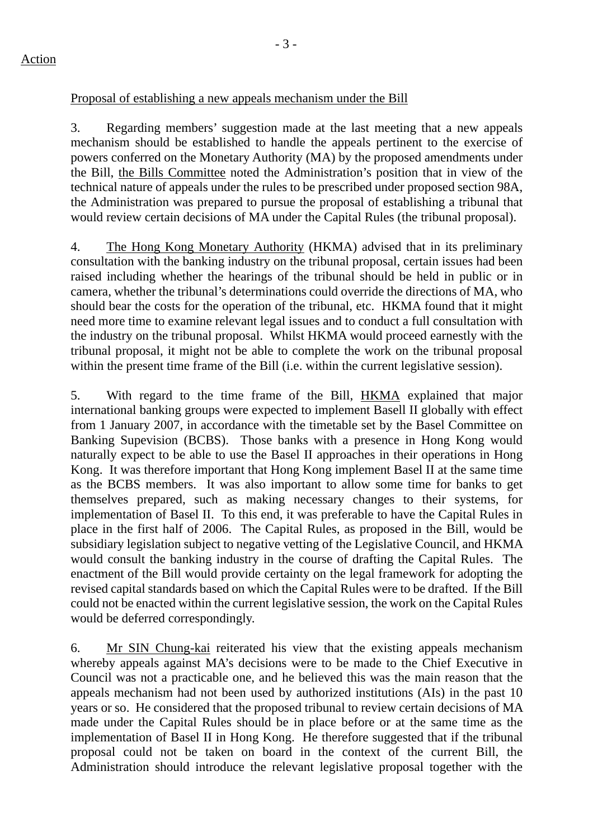3. Regarding members' suggestion made at the last meeting that a new appeals mechanism should be established to handle the appeals pertinent to the exercise of powers conferred on the Monetary Authority (MA) by the proposed amendments under the Bill, the Bills Committee noted the Administration's position that in view of the technical nature of appeals under the rules to be prescribed under proposed section 98A, the Administration was prepared to pursue the proposal of establishing a tribunal that would review certain decisions of MA under the Capital Rules (the tribunal proposal).

4. The Hong Kong Monetary Authority (HKMA) advised that in its preliminary consultation with the banking industry on the tribunal proposal, certain issues had been raised including whether the hearings of the tribunal should be held in public or in camera, whether the tribunal's determinations could override the directions of MA, who should bear the costs for the operation of the tribunal, etc. HKMA found that it might need more time to examine relevant legal issues and to conduct a full consultation with the industry on the tribunal proposal. Whilst HKMA would proceed earnestly with the tribunal proposal, it might not be able to complete the work on the tribunal proposal within the present time frame of the Bill (i.e. within the current legislative session).

5. With regard to the time frame of the Bill, HKMA explained that major international banking groups were expected to implement Basell II globally with effect from 1 January 2007, in accordance with the timetable set by the Basel Committee on Banking Supevision (BCBS). Those banks with a presence in Hong Kong would naturally expect to be able to use the Basel II approaches in their operations in Hong Kong. It was therefore important that Hong Kong implement Basel II at the same time as the BCBS members. It was also important to allow some time for banks to get themselves prepared, such as making necessary changes to their systems, for implementation of Basel II. To this end, it was preferable to have the Capital Rules in place in the first half of 2006. The Capital Rules, as proposed in the Bill, would be subsidiary legislation subject to negative vetting of the Legislative Council, and HKMA would consult the banking industry in the course of drafting the Capital Rules. The enactment of the Bill would provide certainty on the legal framework for adopting the revised capital standards based on which the Capital Rules were to be drafted. If the Bill could not be enacted within the current legislative session, the work on the Capital Rules would be deferred correspondingly.

6. Mr SIN Chung-kai reiterated his view that the existing appeals mechanism whereby appeals against MA's decisions were to be made to the Chief Executive in Council was not a practicable one, and he believed this was the main reason that the appeals mechanism had not been used by authorized institutions (AIs) in the past 10 years or so. He considered that the proposed tribunal to review certain decisions of MA made under the Capital Rules should be in place before or at the same time as the implementation of Basel II in Hong Kong. He therefore suggested that if the tribunal proposal could not be taken on board in the context of the current Bill, the Administration should introduce the relevant legislative proposal together with the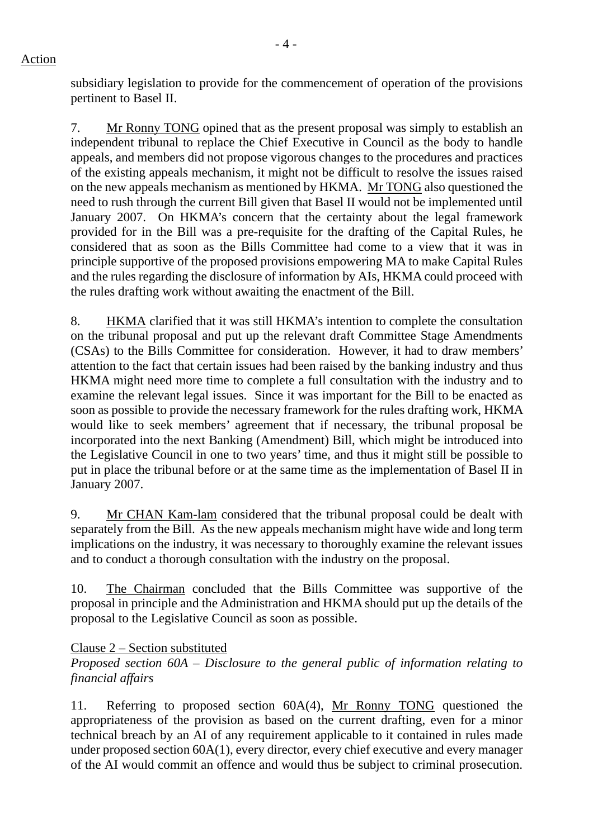subsidiary legislation to provide for the commencement of operation of the provisions pertinent to Basel II.

7. Mr Ronny TONG opined that as the present proposal was simply to establish an independent tribunal to replace the Chief Executive in Council as the body to handle appeals, and members did not propose vigorous changes to the procedures and practices of the existing appeals mechanism, it might not be difficult to resolve the issues raised on the new appeals mechanism as mentioned by HKMA. Mr TONG also questioned the need to rush through the current Bill given that Basel II would not be implemented until January 2007. On HKMA's concern that the certainty about the legal framework provided for in the Bill was a pre-requisite for the drafting of the Capital Rules, he considered that as soon as the Bills Committee had come to a view that it was in principle supportive of the proposed provisions empowering MA to make Capital Rules and the rules regarding the disclosure of information by AIs, HKMA could proceed with the rules drafting work without awaiting the enactment of the Bill.

8. HKMA clarified that it was still HKMA's intention to complete the consultation on the tribunal proposal and put up the relevant draft Committee Stage Amendments (CSAs) to the Bills Committee for consideration. However, it had to draw members' attention to the fact that certain issues had been raised by the banking industry and thus HKMA might need more time to complete a full consultation with the industry and to examine the relevant legal issues. Since it was important for the Bill to be enacted as soon as possible to provide the necessary framework for the rules drafting work, HKMA would like to seek members' agreement that if necessary, the tribunal proposal be incorporated into the next Banking (Amendment) Bill, which might be introduced into the Legislative Council in one to two years' time, and thus it might still be possible to put in place the tribunal before or at the same time as the implementation of Basel II in January 2007.

9. Mr CHAN Kam-lam considered that the tribunal proposal could be dealt with separately from the Bill. As the new appeals mechanism might have wide and long term implications on the industry, it was necessary to thoroughly examine the relevant issues and to conduct a thorough consultation with the industry on the proposal.

10. The Chairman concluded that the Bills Committee was supportive of the proposal in principle and the Administration and HKMA should put up the details of the proposal to the Legislative Council as soon as possible.

### Clause 2 – Section substituted

*Proposed section 60A – Disclosure to the general public of information relating to financial affairs* 

11. Referring to proposed section 60A(4), Mr Ronny TONG questioned the appropriateness of the provision as based on the current drafting, even for a minor technical breach by an AI of any requirement applicable to it contained in rules made under proposed section 60A(1), every director, every chief executive and every manager of the AI would commit an offence and would thus be subject to criminal prosecution.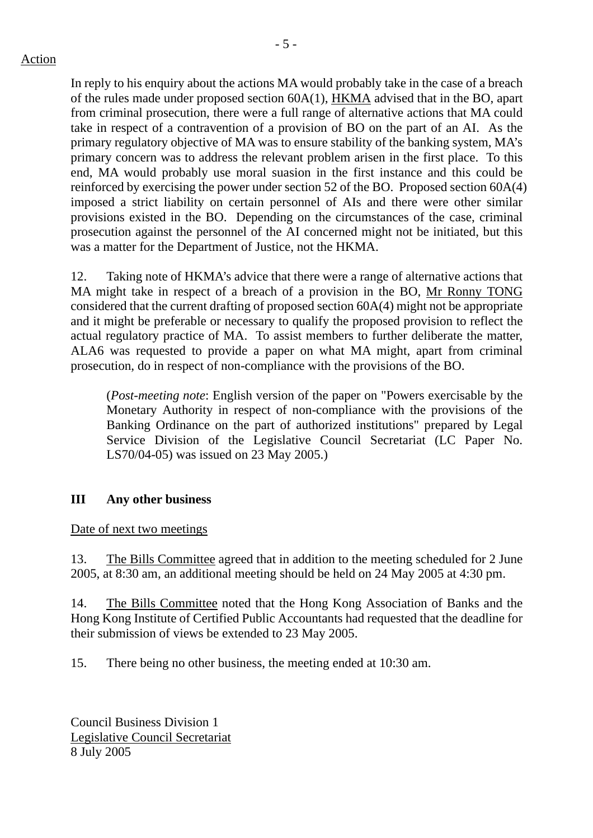- 5 -

In reply to his enquiry about the actions MA would probably take in the case of a breach of the rules made under proposed section 60A(1), HKMA advised that in the BO, apart from criminal prosecution, there were a full range of alternative actions that MA could take in respect of a contravention of a provision of BO on the part of an AI. As the primary regulatory objective of MA was to ensure stability of the banking system, MA's primary concern was to address the relevant problem arisen in the first place. To this end, MA would probably use moral suasion in the first instance and this could be reinforced by exercising the power under section 52 of the BO. Proposed section 60A(4) imposed a strict liability on certain personnel of AIs and there were other similar provisions existed in the BO. Depending on the circumstances of the case, criminal prosecution against the personnel of the AI concerned might not be initiated, but this was a matter for the Department of Justice, not the HKMA.

12. Taking note of HKMA's advice that there were a range of alternative actions that MA might take in respect of a breach of a provision in the BO, Mr Ronny TONG considered that the current drafting of proposed section 60A(4) might not be appropriate and it might be preferable or necessary to qualify the proposed provision to reflect the actual regulatory practice of MA. To assist members to further deliberate the matter, ALA6 was requested to provide a paper on what MA might, apart from criminal prosecution, do in respect of non-compliance with the provisions of the BO.

(*Post-meeting note*: English version of the paper on "Powers exercisable by the Monetary Authority in respect of non-compliance with the provisions of the Banking Ordinance on the part of authorized institutions" prepared by Legal Service Division of the Legislative Council Secretariat (LC Paper No. LS70/04-05) was issued on 23 May 2005.)

## **III Any other business**

Date of next two meetings

13. The Bills Committee agreed that in addition to the meeting scheduled for 2 June 2005, at 8:30 am, an additional meeting should be held on 24 May 2005 at 4:30 pm.

14. The Bills Committee noted that the Hong Kong Association of Banks and the Hong Kong Institute of Certified Public Accountants had requested that the deadline for their submission of views be extended to 23 May 2005.

15. There being no other business, the meeting ended at 10:30 am.

Council Business Division 1 Legislative Council Secretariat 8 July 2005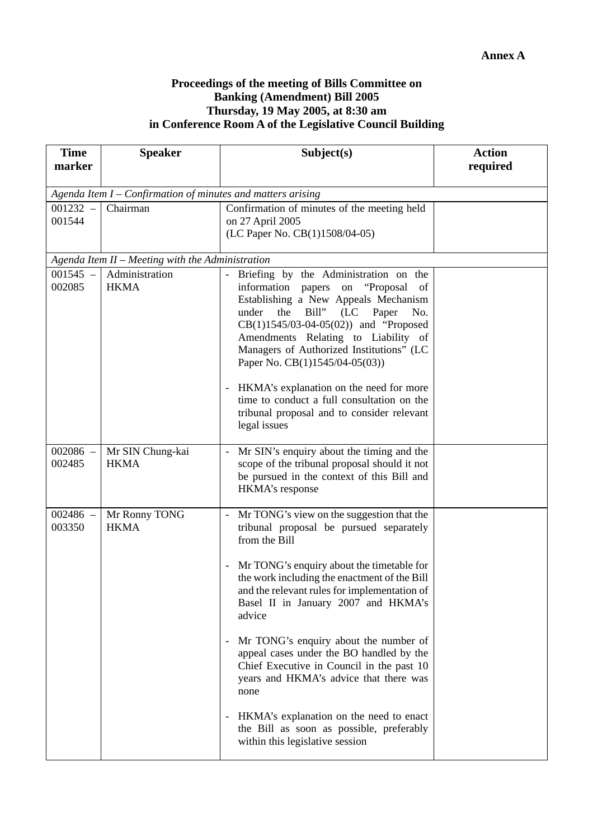#### **Proceedings of the meeting of Bills Committee on Banking (Amendment) Bill 2005 Thursday, 19 May 2005, at 8:30 am in Conference Room A of the Legislative Council Building**

| <b>Time</b><br>marker                                       | <b>Speaker</b>                                   | Subject(s)                                                                                                                                                                                                                                                                                                                                                          | <b>Action</b><br>required |  |  |
|-------------------------------------------------------------|--------------------------------------------------|---------------------------------------------------------------------------------------------------------------------------------------------------------------------------------------------------------------------------------------------------------------------------------------------------------------------------------------------------------------------|---------------------------|--|--|
|                                                             |                                                  |                                                                                                                                                                                                                                                                                                                                                                     |                           |  |  |
| Agenda Item I - Confirmation of minutes and matters arising |                                                  |                                                                                                                                                                                                                                                                                                                                                                     |                           |  |  |
| $001232 -$<br>001544                                        | Chairman                                         | Confirmation of minutes of the meeting held<br>on 27 April 2005<br>(LC Paper No. CB(1)1508/04-05)                                                                                                                                                                                                                                                                   |                           |  |  |
|                                                             | Agenda Item II - Meeting with the Administration |                                                                                                                                                                                                                                                                                                                                                                     |                           |  |  |
| $001545 -$<br>002085                                        | Administration<br><b>HKMA</b>                    | Briefing by the Administration on the<br>$\blacksquare$<br>information<br>"Proposal"<br>papers<br>on<br>of<br>Establishing a New Appeals Mechanism<br>Bill"<br>the<br>Paper<br>under<br>(LC)<br>No.<br>$CB(1)1545/03-04-05(02))$ and "Proposed<br>Amendments Relating to Liability of<br>Managers of Authorized Institutions" (LC<br>Paper No. CB(1)1545/04-05(03)) |                           |  |  |
|                                                             |                                                  | HKMA's explanation on the need for more<br>$\overline{\phantom{a}}$<br>time to conduct a full consultation on the<br>tribunal proposal and to consider relevant<br>legal issues                                                                                                                                                                                     |                           |  |  |
| $002086 -$<br>002485                                        | Mr SIN Chung-kai<br><b>HKMA</b>                  | Mr SIN's enquiry about the timing and the<br>scope of the tribunal proposal should it not<br>be pursued in the context of this Bill and<br>HKMA's response                                                                                                                                                                                                          |                           |  |  |
| $002486 -$<br>003350                                        | Mr Ronny TONG<br><b>HKMA</b>                     | Mr TONG's view on the suggestion that the<br>$\overline{\phantom{a}}$<br>tribunal proposal be pursued separately<br>from the Bill                                                                                                                                                                                                                                   |                           |  |  |
|                                                             |                                                  | Mr TONG's enquiry about the timetable for<br>the work including the enactment of the Bill<br>and the relevant rules for implementation of<br>Basel II in January 2007 and HKMA's<br>advice                                                                                                                                                                          |                           |  |  |
|                                                             |                                                  | Mr TONG's enquiry about the number of<br>$\overline{\phantom{a}}$<br>appeal cases under the BO handled by the<br>Chief Executive in Council in the past 10<br>years and HKMA's advice that there was<br>none                                                                                                                                                        |                           |  |  |
|                                                             |                                                  | HKMA's explanation on the need to enact<br>$\overline{\phantom{a}}$<br>the Bill as soon as possible, preferably<br>within this legislative session                                                                                                                                                                                                                  |                           |  |  |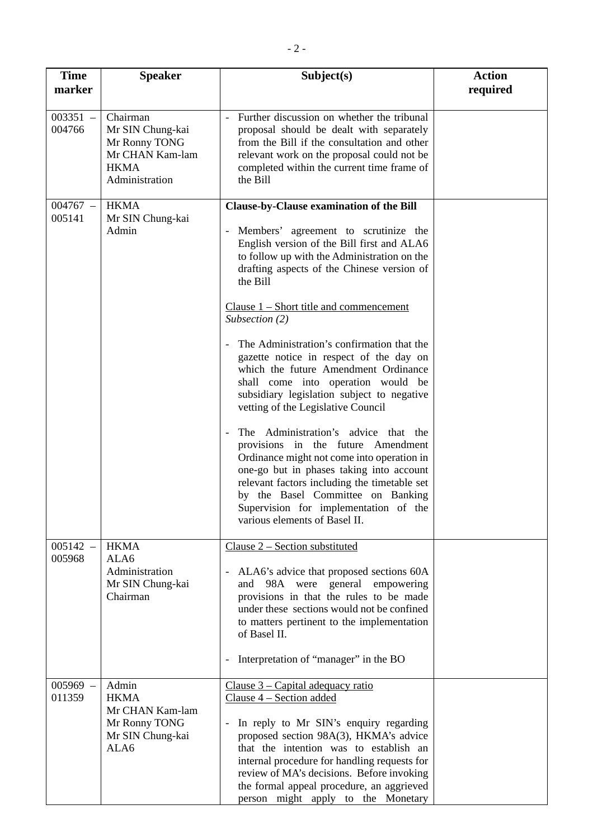| <b>Time</b><br>marker | <b>Speaker</b>                                                                                    | Subject(s)                                                                                                                                                                                                                                                                                                                                                                                                                                                                                                                                                                                     | <b>Action</b><br>required |
|-----------------------|---------------------------------------------------------------------------------------------------|------------------------------------------------------------------------------------------------------------------------------------------------------------------------------------------------------------------------------------------------------------------------------------------------------------------------------------------------------------------------------------------------------------------------------------------------------------------------------------------------------------------------------------------------------------------------------------------------|---------------------------|
| $003351 -$<br>004766  | Chairman<br>Mr SIN Chung-kai<br>Mr Ronny TONG<br>Mr CHAN Kam-lam<br><b>HKMA</b><br>Administration | Further discussion on whether the tribunal<br>proposal should be dealt with separately<br>from the Bill if the consultation and other<br>relevant work on the proposal could not be<br>completed within the current time frame of<br>the Bill                                                                                                                                                                                                                                                                                                                                                  |                           |
| $004767 -$<br>005141  | <b>HKMA</b><br>Mr SIN Chung-kai<br>Admin                                                          | Clause-by-Clause examination of the Bill<br>Members' agreement to scrutinize the<br>English version of the Bill first and ALA6<br>to follow up with the Administration on the<br>drafting aspects of the Chinese version of<br>the Bill<br>Clause $1$ – Short title and commencement<br>Subsection (2)                                                                                                                                                                                                                                                                                         |                           |
|                       |                                                                                                   | The Administration's confirmation that the<br>gazette notice in respect of the day on<br>which the future Amendment Ordinance<br>shall come into operation would be<br>subsidiary legislation subject to negative<br>vetting of the Legislative Council<br>The Administration's advice that the<br>provisions in the future Amendment<br>Ordinance might not come into operation in<br>one-go but in phases taking into account<br>relevant factors including the timetable set<br>by the Basel Committee on Banking<br>Supervision for implementation of the<br>various elements of Basel II. |                           |
| $005142 -$<br>005968  | <b>HKMA</b><br>ALA6<br>Administration<br>Mr SIN Chung-kai<br>Chairman                             | Clause $2$ – Section substituted<br>ALA6's advice that proposed sections 60A<br>and 98A were general empowering<br>provisions in that the rules to be made<br>under these sections would not be confined<br>to matters pertinent to the implementation<br>of Basel II.<br>Interpretation of "manager" in the BO<br>$\overline{\phantom{a}}$                                                                                                                                                                                                                                                    |                           |
| $005969 -$<br>011359  | Admin<br><b>HKMA</b><br>Mr CHAN Kam-lam<br>Mr Ronny TONG<br>Mr SIN Chung-kai<br>ALA6              | $Clause 3 - Capital adequacy ratio$<br>Clause 4 – Section added<br>In reply to Mr SIN's enquiry regarding<br>$\blacksquare$<br>proposed section 98A(3), HKMA's advice<br>that the intention was to establish an<br>internal procedure for handling requests for<br>review of MA's decisions. Before invoking<br>the formal appeal procedure, an aggrieved<br>person might apply to the Monetary                                                                                                                                                                                                |                           |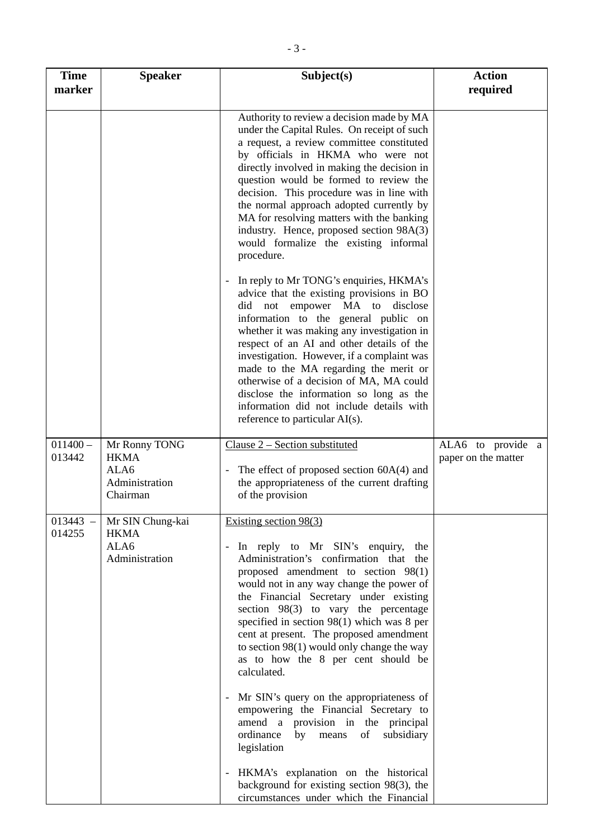| <b>Time</b><br>marker | <b>Speaker</b>                                                     | Subject(s)                                                                                                                                                                                                                                                                                                                                                                                                                                                                                                                                                                                                                                                                                                                                                                                                   | <b>Action</b><br>required                |
|-----------------------|--------------------------------------------------------------------|--------------------------------------------------------------------------------------------------------------------------------------------------------------------------------------------------------------------------------------------------------------------------------------------------------------------------------------------------------------------------------------------------------------------------------------------------------------------------------------------------------------------------------------------------------------------------------------------------------------------------------------------------------------------------------------------------------------------------------------------------------------------------------------------------------------|------------------------------------------|
|                       |                                                                    | Authority to review a decision made by MA<br>under the Capital Rules. On receipt of such<br>a request, a review committee constituted<br>by officials in HKMA who were not<br>directly involved in making the decision in<br>question would be formed to review the<br>decision. This procedure was in line with<br>the normal approach adopted currently by<br>MA for resolving matters with the banking<br>industry. Hence, proposed section 98A(3)<br>would formalize the existing informal<br>procedure.                                                                                                                                                                                                                                                                                                 |                                          |
|                       |                                                                    | In reply to Mr TONG's enquiries, HKMA's<br>advice that the existing provisions in BO<br>did<br>not empower MA to<br>disclose<br>information to the general public on<br>whether it was making any investigation in<br>respect of an AI and other details of the<br>investigation. However, if a complaint was<br>made to the MA regarding the merit or<br>otherwise of a decision of MA, MA could<br>disclose the information so long as the<br>information did not include details with<br>reference to particular AI(s).                                                                                                                                                                                                                                                                                   |                                          |
| $011400 -$<br>013442  | Mr Ronny TONG<br><b>HKMA</b><br>ALA6<br>Administration<br>Chairman | Clause 2 – Section substituted<br>The effect of proposed section $60A(4)$ and<br>the appropriateness of the current drafting<br>of the provision                                                                                                                                                                                                                                                                                                                                                                                                                                                                                                                                                                                                                                                             | ALA6 to provide a<br>paper on the matter |
| $013443 -$<br>014255  | Mr SIN Chung-kai<br><b>HKMA</b><br>ALA6<br>Administration          | Existing section $98(3)$<br>In reply to Mr SIN's enquiry,<br>the<br>Administration's confirmation that the<br>proposed amendment to section 98(1)<br>would not in any way change the power of<br>the Financial Secretary under existing<br>section $98(3)$ to vary the percentage<br>specified in section $98(1)$ which was 8 per<br>cent at present. The proposed amendment<br>to section $98(1)$ would only change the way<br>as to how the 8 per cent should be<br>calculated.<br>Mr SIN's query on the appropriateness of<br>empowering the Financial Secretary to<br>amend a provision in the principal<br>ordinance<br>by<br>of<br>subsidiary<br>means<br>legislation<br>HKMA's explanation on the historical<br>background for existing section 98(3), the<br>circumstances under which the Financial |                                          |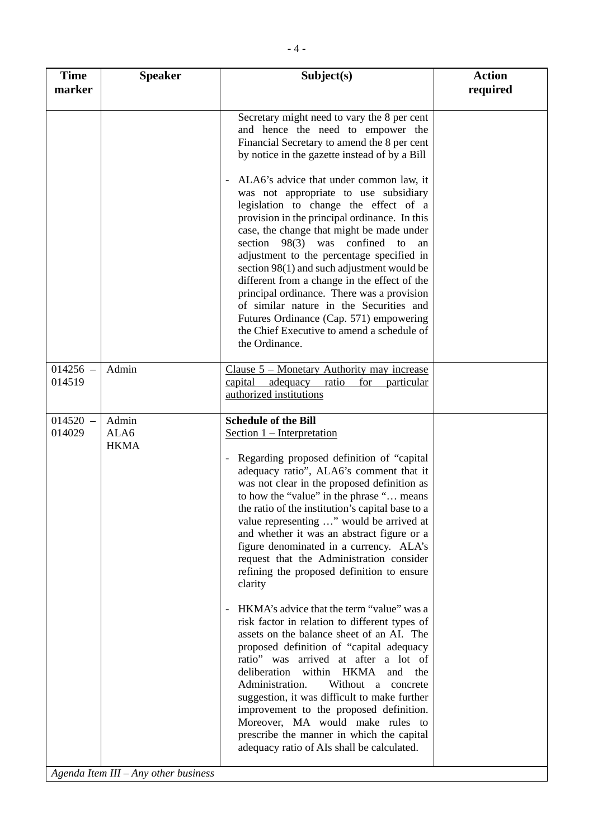| <b>Time</b><br>marker | <b>Speaker</b>               | Subject(s)                                                                                                                                                                                                                                                                                                                                                                                                                                                                                                                                                                                                                                                                                                                                                                                                                                                                                                                                                                                                                                                                          | <b>Action</b><br>required |
|-----------------------|------------------------------|-------------------------------------------------------------------------------------------------------------------------------------------------------------------------------------------------------------------------------------------------------------------------------------------------------------------------------------------------------------------------------------------------------------------------------------------------------------------------------------------------------------------------------------------------------------------------------------------------------------------------------------------------------------------------------------------------------------------------------------------------------------------------------------------------------------------------------------------------------------------------------------------------------------------------------------------------------------------------------------------------------------------------------------------------------------------------------------|---------------------------|
|                       |                              | Secretary might need to vary the 8 per cent<br>and hence the need to empower the<br>Financial Secretary to amend the 8 per cent<br>by notice in the gazette instead of by a Bill                                                                                                                                                                                                                                                                                                                                                                                                                                                                                                                                                                                                                                                                                                                                                                                                                                                                                                    |                           |
|                       |                              | ALA6's advice that under common law, it<br>was not appropriate to use subsidiary<br>legislation to change the effect of a<br>provision in the principal ordinance. In this<br>case, the change that might be made under<br>section $98(3)$ was<br>confined to<br>an<br>adjustment to the percentage specified in<br>section 98(1) and such adjustment would be<br>different from a change in the effect of the<br>principal ordinance. There was a provision<br>of similar nature in the Securities and<br>Futures Ordinance (Cap. 571) empowering<br>the Chief Executive to amend a schedule of<br>the Ordinance.                                                                                                                                                                                                                                                                                                                                                                                                                                                                  |                           |
| $014256 -$<br>014519  | Admin                        | Clause 5 – Monetary Authority may increase<br>adequacy<br>capital<br>ratio<br>for<br>particular<br>authorized institutions                                                                                                                                                                                                                                                                                                                                                                                                                                                                                                                                                                                                                                                                                                                                                                                                                                                                                                                                                          |                           |
| $014520 -$<br>014029  | Admin<br>ALA6<br><b>HKMA</b> | <b>Schedule of the Bill</b><br>Section 1 – Interpretation<br>Regarding proposed definition of "capital<br>adequacy ratio", ALA6's comment that it<br>was not clear in the proposed definition as<br>to how the "value" in the phrase " means<br>the ratio of the institution's capital base to a<br>value representing " would be arrived at<br>and whether it was an abstract figure or a<br>figure denominated in a currency. ALA's<br>request that the Administration consider<br>refining the proposed definition to ensure<br>clarity<br>HKMA's advice that the term "value" was a<br>risk factor in relation to different types of<br>assets on the balance sheet of an AI. The<br>proposed definition of "capital adequacy<br>ratio" was arrived at after a lot of<br>deliberation within HKMA<br>and the<br>Administration.<br>Without a concrete<br>suggestion, it was difficult to make further<br>improvement to the proposed definition.<br>Moreover, MA would make rules to<br>prescribe the manner in which the capital<br>adequacy ratio of AIs shall be calculated. |                           |

*Agenda Item III – Any other business*